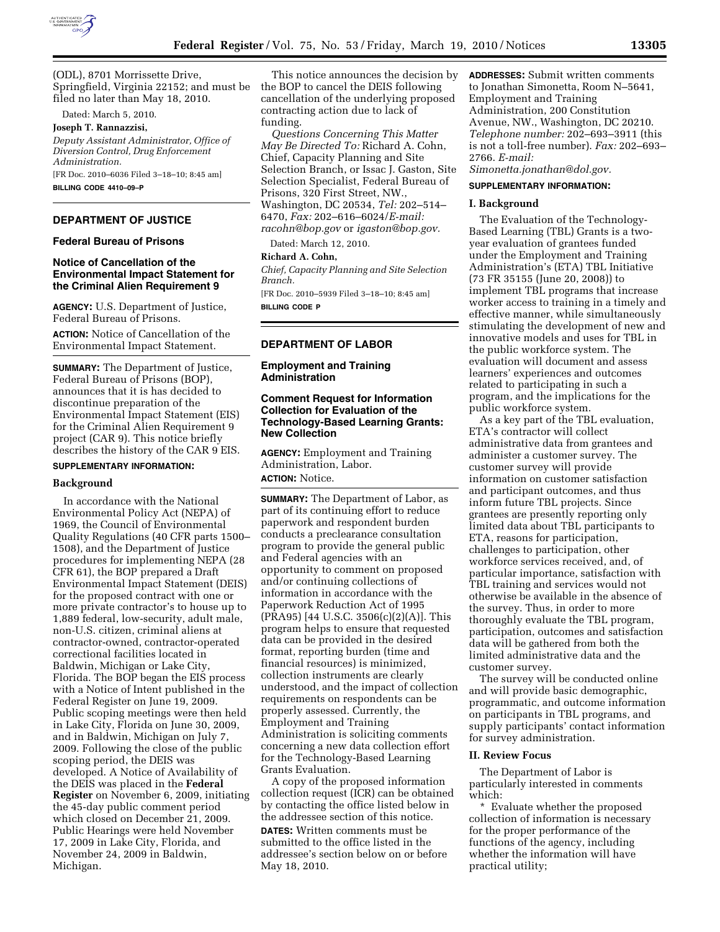

(ODL), 8701 Morrissette Drive, Springfield, Virginia 22152; and must be filed no later than May 18, 2010.

Dated: March 5, 2010.

# **Joseph T. Rannazzisi,**

*Deputy Assistant Administrator, Office of Diversion Control, Drug Enforcement Administration.*  [FR Doc. 2010–6036 Filed 3–18–10; 8:45 am]

**BILLING CODE 4410–09–P** 

### **DEPARTMENT OF JUSTICE**

#### **Federal Bureau of Prisons**

### **Notice of Cancellation of the Environmental Impact Statement for the Criminal Alien Requirement 9**

**AGENCY:** U.S. Department of Justice, Federal Bureau of Prisons.

**ACTION:** Notice of Cancellation of the Environmental Impact Statement.

**SUMMARY:** The Department of Justice, Federal Bureau of Prisons (BOP), announces that it is has decided to discontinue preparation of the Environmental Impact Statement (EIS) for the Criminal Alien Requirement 9 project (CAR 9). This notice briefly describes the history of the CAR 9 EIS.

# **SUPPLEMENTARY INFORMATION:**

## **Background**

In accordance with the National Environmental Policy Act (NEPA) of 1969, the Council of Environmental Quality Regulations (40 CFR parts 1500– 1508), and the Department of Justice procedures for implementing NEPA (28 CFR 61), the BOP prepared a Draft Environmental Impact Statement (DEIS) for the proposed contract with one or more private contractor's to house up to 1,889 federal, low-security, adult male, non-U.S. citizen, criminal aliens at contractor-owned, contractor-operated correctional facilities located in Baldwin, Michigan or Lake City, Florida. The BOP began the EIS process with a Notice of Intent published in the Federal Register on June 19, 2009. Public scoping meetings were then held in Lake City, Florida on June 30, 2009, and in Baldwin, Michigan on July 7, 2009. Following the close of the public scoping period, the DEIS was developed. A Notice of Availability of the DEIS was placed in the **Federal Register** on November 6, 2009, initiating the 45-day public comment period which closed on December 21, 2009. Public Hearings were held November 17, 2009 in Lake City, Florida, and November 24, 2009 in Baldwin, Michigan.

This notice announces the decision by the BOP to cancel the DEIS following cancellation of the underlying proposed contracting action due to lack of funding.

*Questions Concerning This Matter May Be Directed To:* Richard A. Cohn, Chief, Capacity Planning and Site Selection Branch, or Issac J. Gaston, Site Selection Specialist, Federal Bureau of Prisons, 320 First Street, NW., Washington, DC 20534, *Tel:* 202–514– 6470, *Fax:* 202–616–6024/*E-mail: racohn@bop.gov* or *igaston@bop.gov.* 

Dated: March 12, 2010.

#### **Richard A. Cohn,**

*Chief, Capacity Planning and Site Selection Branch.* 

[FR Doc. 2010–5939 Filed 3–18–10; 8:45 am] **BILLING CODE P** 

# **DEPARTMENT OF LABOR**

**Employment and Training Administration** 

## **Comment Request for Information Collection for Evaluation of the Technology-Based Learning Grants: New Collection**

**AGENCY:** Employment and Training Administration, Labor. **ACTION:** Notice.

# **SUMMARY:** The Department of Labor, as part of its continuing effort to reduce paperwork and respondent burden conducts a preclearance consultation program to provide the general public and Federal agencies with an opportunity to comment on proposed and/or continuing collections of information in accordance with the Paperwork Reduction Act of 1995 (PRA95) [44 U.S.C. 3506(c)(2)(A)]. This program helps to ensure that requested data can be provided in the desired format, reporting burden (time and financial resources) is minimized, collection instruments are clearly understood, and the impact of collection requirements on respondents can be properly assessed. Currently, the Employment and Training Administration is soliciting comments concerning a new data collection effort for the Technology-Based Learning Grants Evaluation.

A copy of the proposed information collection request (ICR) can be obtained by contacting the office listed below in the addressee section of this notice.

**DATES:** Written comments must be submitted to the office listed in the addressee's section below on or before May 18, 2010.

**ADDRESSES:** Submit written comments to Jonathan Simonetta, Room N–5641, Employment and Training Administration, 200 Constitution Avenue, NW., Washington, DC 20210. *Telephone number:* 202–693–3911 (this is not a toll-free number). *Fax:* 202–693– 2766. *E-mail:* 

*Simonetta.jonathan@dol.gov.* 

# **SUPPLEMENTARY INFORMATION:**

#### **I. Background**

The Evaluation of the Technology-Based Learning (TBL) Grants is a twoyear evaluation of grantees funded under the Employment and Training Administration's (ETA) TBL Initiative (73 FR 35155 (June 20, 2008)) to implement TBL programs that increase worker access to training in a timely and effective manner, while simultaneously stimulating the development of new and innovative models and uses for TBL in the public workforce system. The evaluation will document and assess learners' experiences and outcomes related to participating in such a program, and the implications for the public workforce system.

As a key part of the TBL evaluation, ETA's contractor will collect administrative data from grantees and administer a customer survey. The customer survey will provide information on customer satisfaction and participant outcomes, and thus inform future TBL projects. Since grantees are presently reporting only limited data about TBL participants to ETA, reasons for participation, challenges to participation, other workforce services received, and, of particular importance, satisfaction with TBL training and services would not otherwise be available in the absence of the survey. Thus, in order to more thoroughly evaluate the TBL program, participation, outcomes and satisfaction data will be gathered from both the limited administrative data and the customer survey.

The survey will be conducted online and will provide basic demographic, programmatic, and outcome information on participants in TBL programs, and supply participants' contact information for survey administration.

# **II. Review Focus**

The Department of Labor is particularly interested in comments which:

\* Evaluate whether the proposed collection of information is necessary for the proper performance of the functions of the agency, including whether the information will have practical utility;